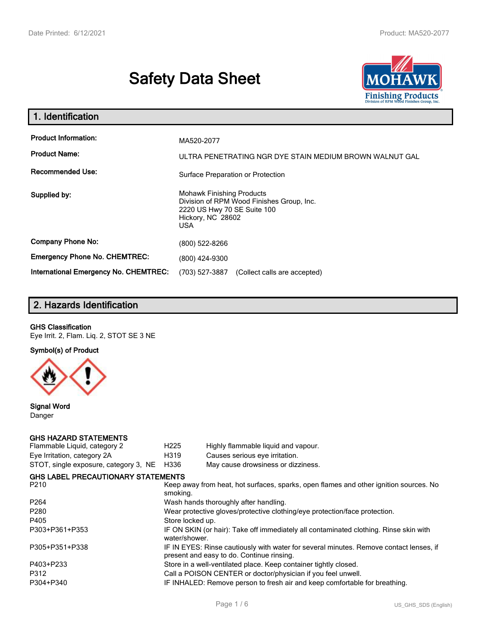# **Safety Data Sheet**



| 1. Identification                                                              |                                                                                                                                                 |  |  |  |  |
|--------------------------------------------------------------------------------|-------------------------------------------------------------------------------------------------------------------------------------------------|--|--|--|--|
| <b>Product Information:</b><br><b>Product Name:</b><br><b>Recommended Use:</b> | MA520-2077<br>ULTRA PENETRATING NGR DYE STAIN MEDIUM BROWN WALNUT GAL                                                                           |  |  |  |  |
|                                                                                | Surface Preparation or Protection                                                                                                               |  |  |  |  |
| Supplied by:                                                                   | <b>Mohawk Finishing Products</b><br>Division of RPM Wood Finishes Group, Inc.<br>2220 US Hwy 70 SE Suite 100<br>Hickory, NC 28602<br><b>USA</b> |  |  |  |  |
| <b>Company Phone No:</b>                                                       | (800) 522-8266                                                                                                                                  |  |  |  |  |
| <b>Emergency Phone No. CHEMTREC:</b>                                           | (800) 424-9300                                                                                                                                  |  |  |  |  |
| International Emergency No. CHEMTREC:                                          | (703) 527-3887<br>(Collect calls are accepted)                                                                                                  |  |  |  |  |

# **2. Hazards Identification**

#### **GHS Classification**

Eye Irrit. 2, Flam. Liq. 2, STOT SE 3 NE

**Symbol(s) of Product**



**Signal Word** Danger

#### **GHS HAZARD STATEMENTS**

| H <sub>225</sub>                                                                                  | Highly flammable liquid and vapour.                                                                                                 |  |  |  |
|---------------------------------------------------------------------------------------------------|-------------------------------------------------------------------------------------------------------------------------------------|--|--|--|
| H319                                                                                              | Causes serious eye irritation.                                                                                                      |  |  |  |
| H336                                                                                              | May cause drowsiness or dizziness.                                                                                                  |  |  |  |
|                                                                                                   |                                                                                                                                     |  |  |  |
| Keep away from heat, hot surfaces, sparks, open flames and other ignition sources. No<br>smoking. |                                                                                                                                     |  |  |  |
|                                                                                                   | Wash hands thoroughly after handling.                                                                                               |  |  |  |
| Wear protective gloves/protective clothing/eye protection/face protection.                        |                                                                                                                                     |  |  |  |
| Store locked up.                                                                                  |                                                                                                                                     |  |  |  |
| water/shower.                                                                                     | IF ON SKIN (or hair): Take off immediately all contaminated clothing. Rinse skin with                                               |  |  |  |
|                                                                                                   | IF IN EYES: Rinse cautiously with water for several minutes. Remove contact lenses, if<br>present and easy to do. Continue rinsing. |  |  |  |
|                                                                                                   | Store in a well-ventilated place. Keep container tightly closed.                                                                    |  |  |  |
|                                                                                                   | Call a POISON CENTER or doctor/physician if you feel unwell.                                                                        |  |  |  |
|                                                                                                   | IF INHALED: Remove person to fresh air and keep comfortable for breathing.                                                          |  |  |  |
|                                                                                                   | <b>GHS LABEL PRECAUTIONARY STATEMENTS</b>                                                                                           |  |  |  |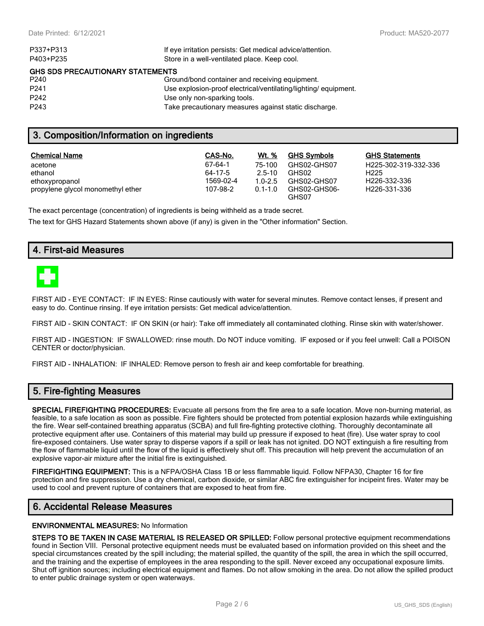| If eye irritation persists: Get medical advice/attention.      |
|----------------------------------------------------------------|
| Store in a well-ventilated place. Keep cool.                   |
| <b>GHS SDS PRECAUTIONARY STATEMENTS</b>                        |
| Ground/bond container and receiving equipment.                 |
| Use explosion-proof electrical/ventilating/lighting/equipment. |
| Use only non-sparking tools.                                   |
| Take precautionary measures against static discharge.          |
|                                                                |

## **3. Composition/Information on ingredients**

| <b>Chemical Name</b>              | CAS-No.   | Wt. %       | <b>GHS Symbols</b>    | <b>GHS Statements</b>     |
|-----------------------------------|-----------|-------------|-----------------------|---------------------------|
| acetone                           | 67-64-1   | 75-100      | GHS02-GHS07           | H225-302-319-332-336      |
| ethanol                           | 64-17-5   | $2.5 - 10$  | GHS02                 | H <sub>225</sub>          |
| ethoxypropanol                    | 1569-02-4 | $1.0 - 2.5$ | GHS02-GHS07           | H <sub>226</sub> -332-336 |
| propylene glycol monomethyl ether | 107-98-2  | $0.1 - 1.0$ | GHS02-GHS06-<br>GHS07 | H <sub>226</sub> -331-336 |

The exact percentage (concentration) of ingredients is being withheld as a trade secret.

The text for GHS Hazard Statements shown above (if any) is given in the "Other information" Section.

## **4. First-aid Measures**



FIRST AID - EYE CONTACT: IF IN EYES: Rinse cautiously with water for several minutes. Remove contact lenses, if present and easy to do. Continue rinsing. If eye irritation persists: Get medical advice/attention.

FIRST AID - SKIN CONTACT: IF ON SKIN (or hair): Take off immediately all contaminated clothing. Rinse skin with water/shower.

FIRST AID - INGESTION: IF SWALLOWED: rinse mouth. Do NOT induce vomiting. IF exposed or if you feel unwell: Call a POISON CENTER or doctor/physician.

FIRST AID - INHALATION: IF INHALED: Remove person to fresh air and keep comfortable for breathing.

## **5. Fire-fighting Measures**

**SPECIAL FIREFIGHTING PROCEDURES:** Evacuate all persons from the fire area to a safe location. Move non-burning material, as feasible, to a safe location as soon as possible. Fire fighters should be protected from potential explosion hazards while extinguishing the fire. Wear self-contained breathing apparatus (SCBA) and full fire-fighting protective clothing. Thoroughly decontaminate all protective equipment after use. Containers of this material may build up pressure if exposed to heat (fire). Use water spray to cool fire-exposed containers. Use water spray to disperse vapors if a spill or leak has not ignited. DO NOT extinguish a fire resulting from the flow of flammable liquid until the flow of the liquid is effectively shut off. This precaution will help prevent the accumulation of an explosive vapor-air mixture after the initial fire is extinguished.

**FIREFIGHTING EQUIPMENT:** This is a NFPA/OSHA Class 1B or less flammable liquid. Follow NFPA30, Chapter 16 for fire protection and fire suppression. Use a dry chemical, carbon dioxide, or similar ABC fire extinguisher for incipeint fires. Water may be used to cool and prevent rupture of containers that are exposed to heat from fire.

## **6. Accidental Release Measures**

#### **ENVIRONMENTAL MEASURES:** No Information

**STEPS TO BE TAKEN IN CASE MATERIAL IS RELEASED OR SPILLED:** Follow personal protective equipment recommendations found in Section VIII. Personal protective equipment needs must be evaluated based on information provided on this sheet and the special circumstances created by the spill including; the material spilled, the quantity of the spill, the area in which the spill occurred, and the training and the expertise of employees in the area responding to the spill. Never exceed any occupational exposure limits. Shut off ignition sources; including electrical equipment and flames. Do not allow smoking in the area. Do not allow the spilled product to enter public drainage system or open waterways.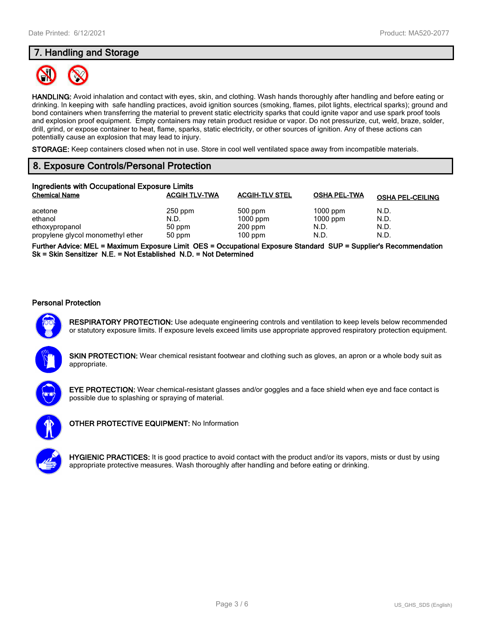# **7. Handling and Storage**



**HANDLING:** Avoid inhalation and contact with eyes, skin, and clothing. Wash hands thoroughly after handling and before eating or drinking. In keeping with safe handling practices, avoid ignition sources (smoking, flames, pilot lights, electrical sparks); ground and bond containers when transferring the material to prevent static electricity sparks that could ignite vapor and use spark proof tools and explosion proof equipment. Empty containers may retain product residue or vapor. Do not pressurize, cut, weld, braze, solder, drill, grind, or expose container to heat, flame, sparks, static electricity, or other sources of ignition. Any of these actions can potentially cause an explosion that may lead to injury.

**STORAGE:** Keep containers closed when not in use. Store in cool well ventilated space away from incompatible materials.

# **8. Exposure Controls/Personal Protection**

| Ingredients with Occupational Exposure Limits |                      |                       |                     |                         |  |  |
|-----------------------------------------------|----------------------|-----------------------|---------------------|-------------------------|--|--|
| <b>Chemical Name</b>                          | <b>ACGIH TLV-TWA</b> | <b>ACGIH-TLV STEL</b> | <b>OSHA PEL-TWA</b> | <b>OSHA PEL-CEILING</b> |  |  |
| acetone                                       | $250$ ppm            | 500 ppm               | $1000$ ppm          | N.D.                    |  |  |
| ethanol                                       | N.D.                 | $1000$ ppm            | $1000$ ppm          | N.D.                    |  |  |
| ethoxypropanol                                | 50 ppm               | $200$ ppm             | N.D.                | N.D.                    |  |  |
| propylene glycol monomethyl ether             | 50 ppm               | $100$ ppm             | N.D.                | N.D.                    |  |  |

**Further Advice: MEL = Maximum Exposure Limit OES = Occupational Exposure Standard SUP = Supplier's Recommendation Sk = Skin Sensitizer N.E. = Not Established N.D. = Not Determined**

#### **Personal Protection**



**RESPIRATORY PROTECTION:** Use adequate engineering controls and ventilation to keep levels below recommended or statutory exposure limits. If exposure levels exceed limits use appropriate approved respiratory protection equipment.

**SKIN PROTECTION:** Wear chemical resistant footwear and clothing such as gloves, an apron or a whole body suit as appropriate.



**EYE PROTECTION:** Wear chemical-resistant glasses and/or goggles and a face shield when eye and face contact is possible due to splashing or spraying of material.



**OTHER PROTECTIVE EQUIPMENT:** No Information



**HYGIENIC PRACTICES:** It is good practice to avoid contact with the product and/or its vapors, mists or dust by using appropriate protective measures. Wash thoroughly after handling and before eating or drinking.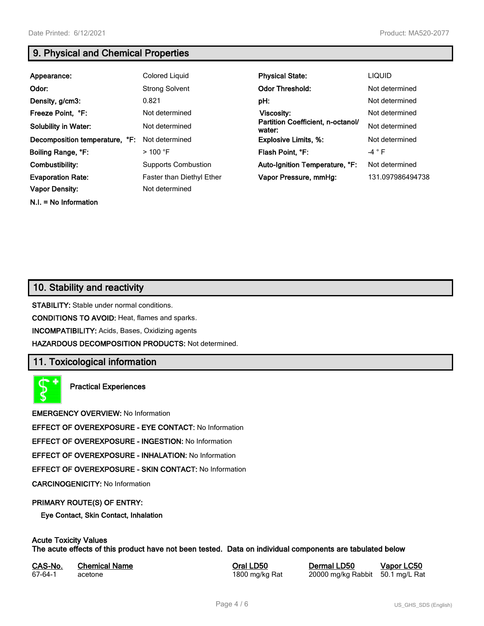**N.I. = No Information**

# **9. Physical and Chemical Properties**

| Appearance:                    | Colored Liquid             | <b>Physical State:</b>                      | <b>LIQUID</b>    |
|--------------------------------|----------------------------|---------------------------------------------|------------------|
| Odor:                          | <b>Strong Solvent</b>      | <b>Odor Threshold:</b>                      | Not determined   |
| Density, g/cm3:                | 0.821                      | pH:                                         | Not determined   |
| Freeze Point, °F:              | Not determined             | <b>Viscosity:</b>                           | Not determined   |
| <b>Solubility in Water:</b>    | Not determined             | Partition Coefficient, n-octanol/<br>water: | Not determined   |
| Decomposition temperature, °F: | Not determined             | <b>Explosive Limits, %:</b>                 | Not determined   |
| Boiling Range, °F:             | $>$ 100 °F                 | Flash Point, °F:                            | $-4$ $\circ$ F   |
| Combustibility:                | <b>Supports Combustion</b> | Auto-Ignition Temperature, °F:              | Not determined   |
| <b>Evaporation Rate:</b>       | Faster than Diethyl Ether  | Vapor Pressure, mmHg:                       | 131.097986494738 |
| <b>Vapor Density:</b>          | Not determined             |                                             |                  |

## **10. Stability and reactivity**

**STABILITY:** Stable under normal conditions.

**CONDITIONS TO AVOID:** Heat, flames and sparks.

**INCOMPATIBILITY:** Acids, Bases, Oxidizing agents

**HAZARDOUS DECOMPOSITION PRODUCTS:** Not determined.

## **11. Toxicological information**

**Practical Experiences**

**EMERGENCY OVERVIEW:** No Information

**EFFECT OF OVEREXPOSURE - EYE CONTACT:** No Information

**EFFECT OF OVEREXPOSURE - INGESTION:** No Information

**EFFECT OF OVEREXPOSURE - INHALATION:** No Information

**EFFECT OF OVEREXPOSURE - SKIN CONTACT:** No Information

**CARCINOGENICITY:** No Information

#### **PRIMARY ROUTE(S) OF ENTRY:**

**Eye Contact, Skin Contact, Inhalation**

# **Acute Toxicity Values**

**The acute effects of this product have not been tested. Data on individual components are tabulated below**

| CAS-No. | <b>Chemical Name</b> |
|---------|----------------------|
| 67-64-1 | acetone              |

**Casary Chemical Chemical LD50 Chemical LD50 Vapor LC50** 1800 mg/kg Rat 20000 mg/kg Rabbit 50.1 mg/L Rat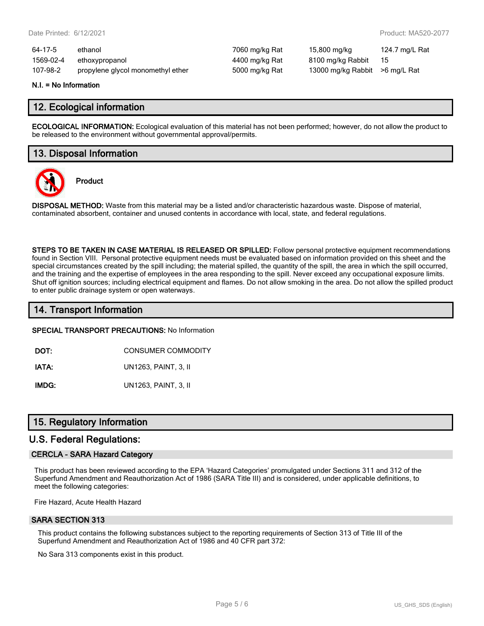| 64-17-5   | ethanol                           | 7060 mg/kg Rat | 15,800 mg/kg                    | 124.7 mg/L Rat |
|-----------|-----------------------------------|----------------|---------------------------------|----------------|
| 1569-02-4 | ethoxypropanol                    | 4400 mg/kg Rat | 8100 mg/kg Rabbit               | - 15           |
| 107-98-2  | propylene glycol monomethyl ether | 5000 mg/kg Rat | 13000 mg/kg Rabbit > 6 mg/L Rat |                |

#### **N.I. = No Information**

## **12. Ecological information**

**ECOLOGICAL INFORMATION:** Ecological evaluation of this material has not been performed; however, do not allow the product to be released to the environment without governmental approval/permits.

## **13. Disposal Information**



**Product**

**DISPOSAL METHOD:** Waste from this material may be a listed and/or characteristic hazardous waste. Dispose of material, contaminated absorbent, container and unused contents in accordance with local, state, and federal regulations.

**STEPS TO BE TAKEN IN CASE MATERIAL IS RELEASED OR SPILLED:** Follow personal protective equipment recommendations found in Section VIII. Personal protective equipment needs must be evaluated based on information provided on this sheet and the special circumstances created by the spill including; the material spilled, the quantity of the spill, the area in which the spill occurred, and the training and the expertise of employees in the area responding to the spill. Never exceed any occupational exposure limits. Shut off ignition sources; including electrical equipment and flames. Do not allow smoking in the area. Do not allow the spilled product to enter public drainage system or open waterways.

## **14. Transport Information**

#### **SPECIAL TRANSPORT PRECAUTIONS:** No Information

**DOT:** CONSUMER COMMODITY

**IATA:** UN1263, PAINT, 3, II

**IMDG:** UN1263, PAINT, 3, II

## **15. Regulatory Information**

### **U.S. Federal Regulations:**

#### **CERCLA - SARA Hazard Category**

This product has been reviewed according to the EPA 'Hazard Categories' promulgated under Sections 311 and 312 of the Superfund Amendment and Reauthorization Act of 1986 (SARA Title III) and is considered, under applicable definitions, to meet the following categories:

Fire Hazard, Acute Health Hazard

#### **SARA SECTION 313**

This product contains the following substances subject to the reporting requirements of Section 313 of Title III of the Superfund Amendment and Reauthorization Act of 1986 and 40 CFR part 372:

No Sara 313 components exist in this product.